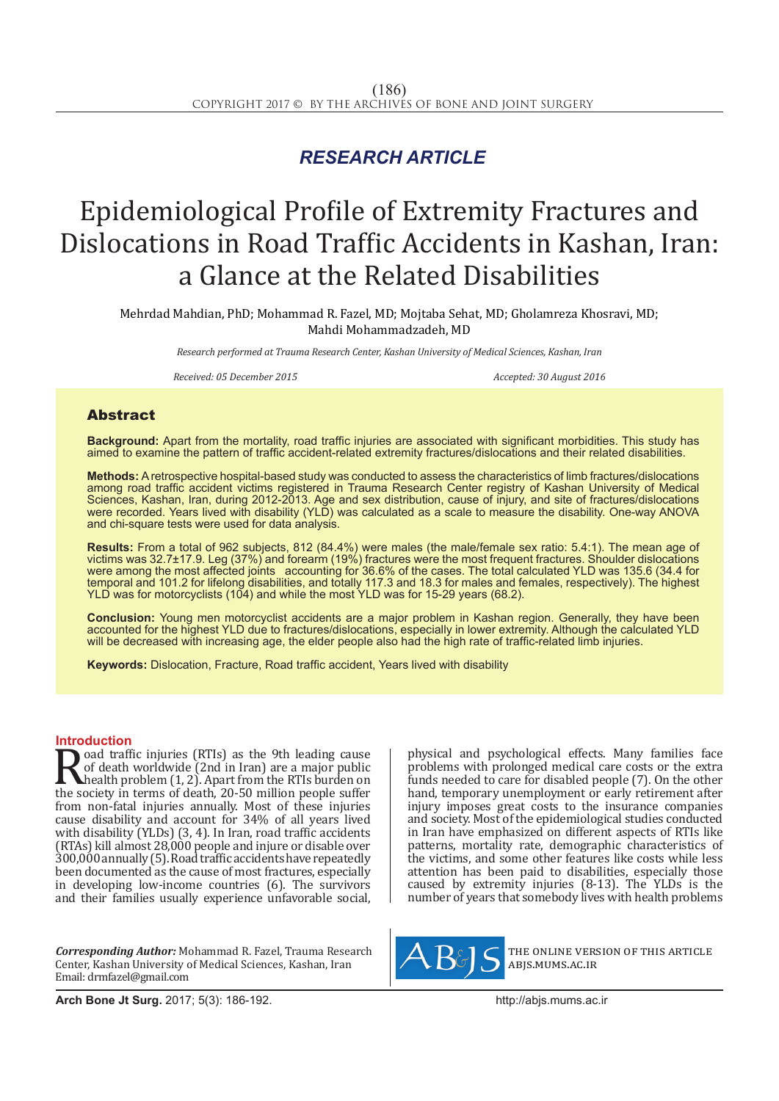## *RESEARCH ARTICLE*

# Epidemiological Profile of Extremity Fractures and Dislocations in Road Traffic Accidents in Kashan, Iran: a Glance at the Related Disabilities

Mehrdad Mahdian, PhD; Mohammad R. Fazel, MD; Mojtaba Sehat, MD; Gholamreza Khosravi, MD; Mahdi Mohammadzadeh, MD

*Research performed at Trauma Research Center, Kashan University of Medical Sciences, Kashan, Iran*

*Received: 05 December 2015 Accepted: 30 August 2016*

### Abstract

**Background:** Apart from the mortality, road traffic injuries are associated with significant morbidities. This study has aimed to examine the pattern of traffic accident-related extremity fractures/dislocations and their related disabilities.

**Methods:** A retrospective hospital-based study was conducted to assess the characteristics of limb fractures/dislocations among road traffic accident victims registered in Trauma Research Center registry of Kashan University of Medical Sciences, Kashan, Iran, during 2012-2013. Age and sex distribution, cause of injury, and site of fractures/dislocations were recorded. Years lived with disability (YLD) was calculated as a scale to measure the disability. One-way ANOVA and chi-square tests were used for data analysis.

**Results:** From a total of 962 subjects, 812 (84.4%) were males (the male/female sex ratio: 5.4:1). The mean age of victims was 32.7±17.9. Leg (37%) and forearm (19%) fractures were the most frequent fractures. Shoulder dislocations were among the most affected joints accounting for 36.6% of the cases. The total calculated YLD was 135.6 (34.4 for temporal and 101.2 for lifelong disabilities, and totally 117.3 and 18.3 for males and females, respectively). The highest YLD was for motorcyclists (104) and while the most YLD was for 15-29 years (68.2).

**Conclusion:** Young men motorcyclist accidents are a major problem in Kashan region. Generally, they have been accounted for the highest YLD due to fractures/dislocations, especially in lower extremity. Although the calculated YLD will be decreased with increasing age, the elder people also had the high rate of traffic-related limb injuries.

**Keywords:** Dislocation, Fracture, Road traffic accident, Years lived with disability

**Introduction**<br>**T** oad traffic injuries (RTIs) as the 9th leading cause **Road traffic injuries (RTIs) as the 9th leading cause**<br>of death worldwide (2nd in Iran) are a major public<br>health problem (1, 2). Apart from the RTIs burden on<br>the society in terms of death, 20-50 million people suffer<br>fr of death worldwide (2nd in Iran) are a major public health problem (1, 2). Apart from the RTIs burden on from non-fatal injuries annually. Most of these injuries cause disability and account for 34% of all years lived with disability (YLDs) (3, 4). In Iran, road traffic accidents (RTAs) kill almost 28,000 people and injure or disable over 300,000 annually (5). Road traffic accidents have repeatedly been documented as the cause of most fractures, especially in developing low-income countries (6). The survivors and their families usually experience unfavorable social,

*Corresponding Author:* Mohammad R. Fazel, Trauma Research Center, Kashan University of Medical Sciences, Kashan, Iran Email: drmfazel@gmail.com

physical and psychological effects. Many families face problems with prolonged medical care costs or the extra funds needed to care for disabled people (7). On the other hand, temporary unemployment or early retirement after injury imposes great costs to the insurance companies and society. Most of the epidemiological studies conducted in Iran have emphasized on different aspects of RTIs like patterns, mortality rate, demographic characteristics of the victims, and some other features like costs while less attention has been paid to disabilities, especially those caused by extremity injuries (8-13). The YLDs is the number of years that somebody lives with health problems



the online version of this article abjs.mums.ac.ir

**Arch Bone Jt Surg.** 2017; 5(3): 186-192.http://abjs.mums.ac.ir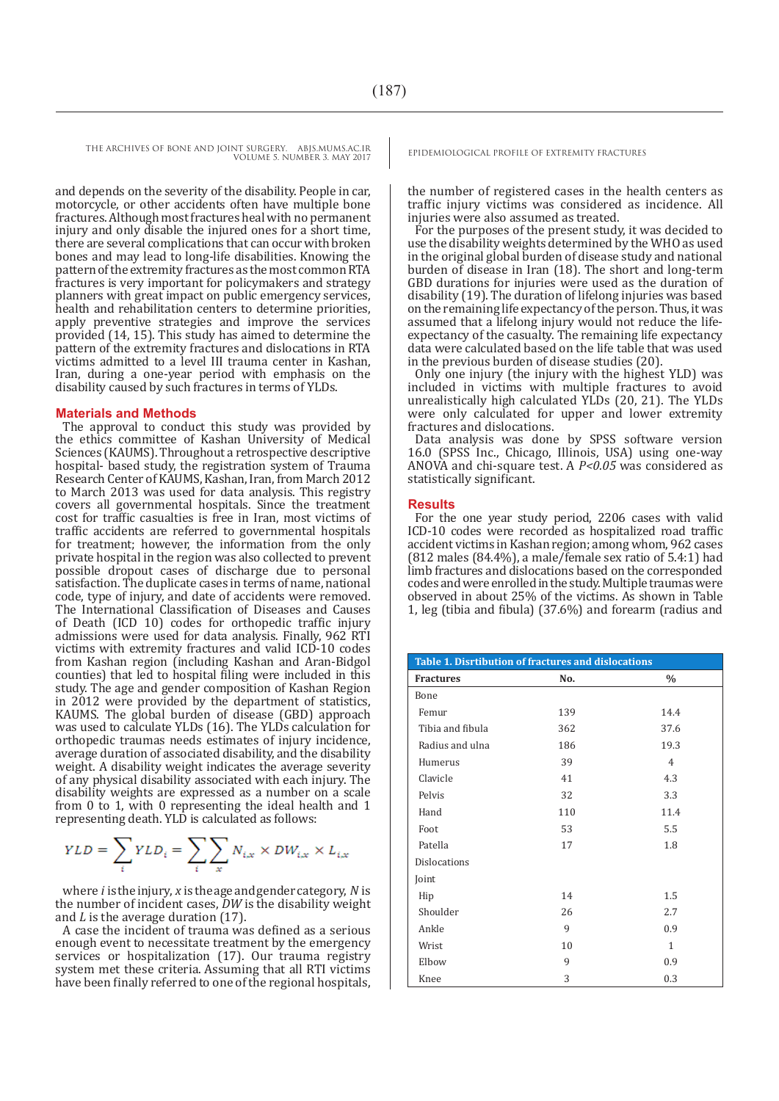and depends on the severity of the disability. People in car, motorcycle, or other accidents often have multiple bone fractures. Although most fractures heal with no permanent injury and only disable the injured ones for a short time, there are several complications that can occur with broken bones and may lead to long-life disabilities. Knowing the pattern of the extremity fractures as the most common RTA fractures is very important for policymakers and strategy planners with great impact on public emergency services, health and rehabilitation centers to determine priorities, apply preventive strategies and improve the services provided (14, 15). This study has aimed to determine the pattern of the extremity fractures and dislocations in RTA victims admitted to a level III trauma center in Kashan, Iran, during a one-year period with emphasis on the disability caused by such fractures in terms of YLDs.

#### **Materials and Methods**

The approval to conduct this study was provided by the ethics committee of Kashan University of Medical Sciences (KAUMS). Throughout a retrospective descriptive hospital- based study, the registration system of Trauma Research Center of KAUMS, Kashan, Iran, from March 2012 to March 2013 was used for data analysis. This registry covers all governmental hospitals. Since the treatment cost for traffic casualties is free in Iran, most victims of traffic accidents are referred to governmental hospitals for treatment; however, the information from the only private hospital in the region was also collected to prevent possible dropout cases of discharge due to personal satisfaction. The duplicate cases in terms of name, national code, type of injury, and date of accidents were removed. The International Classification of Diseases and Causes of Death (ICD 10) codes for orthopedic traffic injury admissions were used for data analysis. Finally, 962 RTI victims with extremity fractures and valid ICD-10 codes from Kashan region (including Kashan and Aran-Bidgol counties) that led to hospital filing were included in this study. The age and gender composition of Kashan Region in 2012 were provided by the department of statistics, KAUMS. The global burden of disease (GBD) approach was used to calculate YLDs (16). The YLDs calculation for orthopedic traumas needs estimates of injury incidence, average duration of associated disability, and the disability weight. A disability weight indicates the average severity of any physical disability associated with each injury. The disability weights are expressed as a number on a scale from 0 to 1, with 0 representing the ideal health and 1 representing death. YLD is calculated as follows:

$$
YLD = \sum_{i} YLD_i = \sum_{i} \sum_{x} N_{i,x} \times DW_{i,x} \times L_{i,x}
$$

where *i* is the injury, *x* is the age and gender category, *N* is the number of incident cases, *DW* is the disability weight and *L* is the average duration (17).

A case the incident of trauma was defined as a serious enough event to necessitate treatment by the emergency services or hospitalization (17). Our trauma registry system met these criteria. Assuming that all RTI victims have been finally referred to one of the regional hospitals,

the number of registered cases in the health centers as traffic injury victims was considered as incidence. All injuries were also assumed as treated.

For the purposes of the present study, it was decided to use the disability weights determined by the WHO as used in the original global burden of disease study and national burden of disease in Iran (18). The short and long-term GBD durations for injuries were used as the duration of disability (19). The duration of lifelong injuries was based on the remaining life expectancy of the person. Thus, it was assumed that a lifelong injury would not reduce the lifeexpectancy of the casualty. The remaining life expectancy data were calculated based on the life table that was used in the previous burden of disease studies (20).

Only one injury (the injury with the highest YLD) was included in victims with multiple fractures to avoid unrealistically high calculated YLDs (20, 21). The YLDs were only calculated for upper and lower extremity fractures and dislocations.

Data analysis was done by SPSS software version 16.0 (SPSS Inc., Chicago, Illinois, USA) using one-way ANOVA and chi-square test. A *P<0.05* was considered as statistically significant.

#### **Results**

For the one year study period, 2206 cases with valid ICD-10 codes were recorded as hospitalized road traffic accident victims in Kashan region; among whom, 962 cases (812 males (84.4%), a male/female sex ratio of 5.4:1) had limb fractures and dislocations based on the corresponded codes and were enrolled in the study. Multiple traumas were observed in about 25% of the victims. As shown in Table 1, leg (tibia and fibula) (37.6%) and forearm (radius and

| <b>Table 1. Disrtibution of fractures and dislocations</b> |     |                |  |  |  |  |
|------------------------------------------------------------|-----|----------------|--|--|--|--|
| <b>Fractures</b>                                           | No. | $\%$           |  |  |  |  |
| Bone                                                       |     |                |  |  |  |  |
| Femur                                                      | 139 | 14.4           |  |  |  |  |
| Tibia and fibula                                           | 362 | 37.6           |  |  |  |  |
| Radius and ulna                                            | 186 | 19.3           |  |  |  |  |
| Humerus                                                    | 39  | $\overline{4}$ |  |  |  |  |
| Clavicle                                                   | 41  | 4.3            |  |  |  |  |
| Pelvis                                                     | 32  | 3.3            |  |  |  |  |
| Hand                                                       | 110 | 11.4           |  |  |  |  |
| Foot                                                       | 53  | 5.5            |  |  |  |  |
| Patella                                                    | 17  | 1.8            |  |  |  |  |
| <b>Dislocations</b>                                        |     |                |  |  |  |  |
| Joint                                                      |     |                |  |  |  |  |
| Hip                                                        | 14  | 1.5            |  |  |  |  |
| Shoulder                                                   | 26  | 2.7            |  |  |  |  |
| Ankle                                                      | 9   | 0.9            |  |  |  |  |
| Wrist                                                      | 10  | $\mathbf{1}$   |  |  |  |  |
| Elbow                                                      | 9   | 0.9            |  |  |  |  |
| Knee                                                       | 3   | 0.3            |  |  |  |  |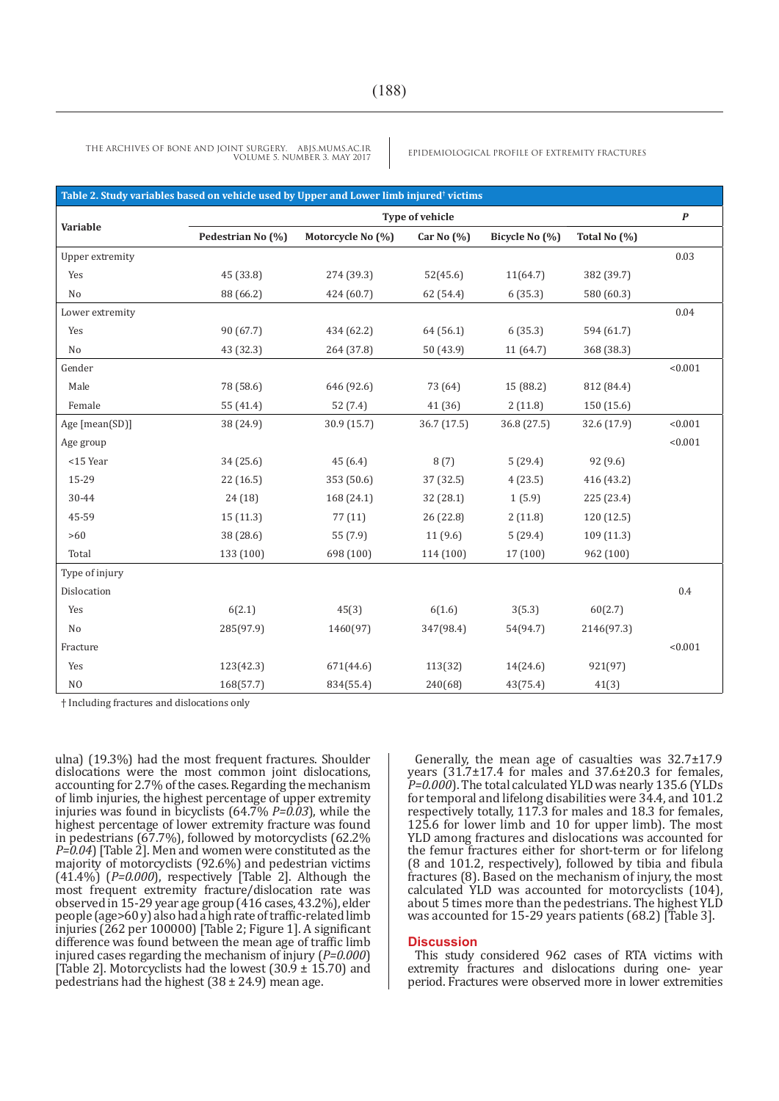THE ARCHIVES OF BONE AND JOINT SURGERY. ABJS.MUMS.AC.IR<br>VOUBLE 2 MAY 2017 VOLUME 5. NUMBER 3. MAY 2017

| Table 2. Study variables based on vehicle used by Upper and Lower limb injured <sup>†</sup> victims |                   |                   |                |                |              |                  |  |  |
|-----------------------------------------------------------------------------------------------------|-------------------|-------------------|----------------|----------------|--------------|------------------|--|--|
|                                                                                                     | Type of vehicle   |                   |                |                |              | $\boldsymbol{P}$ |  |  |
| Variable                                                                                            | Pedestrian No (%) | Motorcycle No (%) | Car No $(\% )$ | Bicycle No (%) | Total No (%) |                  |  |  |
| Upper extremity                                                                                     |                   |                   |                |                |              | 0.03             |  |  |
| Yes                                                                                                 | 45 (33.8)         | 274 (39.3)        | 52(45.6)       | 11(64.7)       | 382 (39.7)   |                  |  |  |
| No                                                                                                  | 88 (66.2)         | 424 (60.7)        | 62 (54.4)      | 6(35.3)        | 580 (60.3)   |                  |  |  |
| Lower extremity                                                                                     |                   |                   |                |                |              | 0.04             |  |  |
| Yes                                                                                                 | 90 (67.7)         | 434 (62.2)        | 64 (56.1)      | 6(35.3)        | 594 (61.7)   |                  |  |  |
| N <sub>o</sub>                                                                                      | 43 (32.3)         | 264 (37.8)        | 50 (43.9)      | 11 (64.7)      | 368 (38.3)   |                  |  |  |
| Gender                                                                                              |                   |                   |                |                |              | < 0.001          |  |  |
| Male                                                                                                | 78 (58.6)         | 646 (92.6)        | 73 (64)        | 15 (88.2)      | 812 (84.4)   |                  |  |  |
| Female                                                                                              | 55 (41.4)         | 52 (7.4)          | 41 (36)        | 2(11.8)        | 150 (15.6)   |                  |  |  |
| Age [mean(SD)]                                                                                      | 38 (24.9)         | 30.9 (15.7)       | 36.7(17.5)     | 36.8 (27.5)    | 32.6 (17.9)  | < 0.001          |  |  |
| Age group                                                                                           |                   |                   |                |                |              | < 0.001          |  |  |
| <15 Year                                                                                            | 34(25.6)          | 45(6.4)           | 8(7)           | 5(29.4)        | 92(9.6)      |                  |  |  |
| 15-29                                                                                               | 22(16.5)          | 353 (50.6)        | 37 (32.5)      | 4(23.5)        | 416 (43.2)   |                  |  |  |
| 30-44                                                                                               | 24(18)            | 168 (24.1)        | 32 (28.1)      | 1(5.9)         | 225 (23.4)   |                  |  |  |
| 45-59                                                                                               | 15 (11.3)         | 77(11)            | 26 (22.8)      | 2(11.8)        | 120 (12.5)   |                  |  |  |
| $>60$                                                                                               | 38 (28.6)         | 55 (7.9)          | 11(9.6)        | 5(29.4)        | 109(11.3)    |                  |  |  |
| Total                                                                                               | 133 (100)         | 698 (100)         | 114 (100)      | 17(100)        | 962 (100)    |                  |  |  |
| Type of injury                                                                                      |                   |                   |                |                |              |                  |  |  |
| Dislocation                                                                                         |                   |                   |                |                |              | 0.4              |  |  |
| Yes                                                                                                 | 6(2.1)            | 45(3)             | 6(1.6)         | 3(5.3)         | 60(2.7)      |                  |  |  |
| No                                                                                                  | 285(97.9)         | 1460(97)          | 347(98.4)      | 54(94.7)       | 2146(97.3)   |                  |  |  |
| Fracture                                                                                            |                   |                   |                |                |              | < 0.001          |  |  |
| Yes                                                                                                 | 123(42.3)         | 671(44.6)         | 113(32)        | 14(24.6)       | 921(97)      |                  |  |  |
| N <sub>O</sub>                                                                                      | 168(57.7)         | 834(55.4)         | 240(68)        | 43(75.4)       | 41(3)        |                  |  |  |

† Including fractures and dislocations only

ulna) (19.3%) had the most frequent fractures. Shoulder dislocations were the most common joint dislocations, accounting for 2.7% of the cases. Regarding the mechanism of limb injuries, the highest percentage of upper extremity injuries was found in bicyclists (64.7% *P=0.03*), while the highest percentage of lower extremity fracture was found in pedestrians (67.7%), followed by motorcyclists (62.2% *P=0.04*) [Table 2]. Men and women were constituted as the majority of motorcyclists (92.6%) and pedestrian victims (41.4%) (*P=0.000*), respectively [Table 2]. Although the most frequent extremity fracture/dislocation rate was observed in 15-29 year age group (416 cases, 43.2%), elder people (age>60 y) also had a high rate of traffic-related limb injuries (262 per 100000) [Table 2; Figure 1]. A significant difference was found between the mean age of traffic limb injured cases regarding the mechanism of injury (*P=0.000*) [Table 2]. Motorcyclists had the lowest  $(30.9 \pm 15.70)$  and pedestrians had the highest  $(38 \pm 24.9)$  mean age.

Generally, the mean age of casualties was 32.7±17.9 years (31.7±17.4 for males and 37.6±20.3 for females, *P=0.000*). The total calculated YLD was nearly 135.6 (YLDs for temporal and lifelong disabilities were 34.4, and 101.2 respectively totally, 117.3 for males and 18.3 for females, 125.6 for lower limb and 10 for upper limb). The most YLD among fractures and dislocations was accounted for the femur fractures either for short-term or for lifelong (8 and 101.2, respectively), followed by tibia and fibula fractures (8). Based on the mechanism of injury, the most calculated YLD was accounted for motorcyclists (104), about 5 times more than the pedestrians. The highest YLD was accounted for 15-29 years patients (68.2) [Table 3].

#### **Discussion**

This study considered 962 cases of RTA victims with extremity fractures and dislocations during one- year period. Fractures were observed more in lower extremities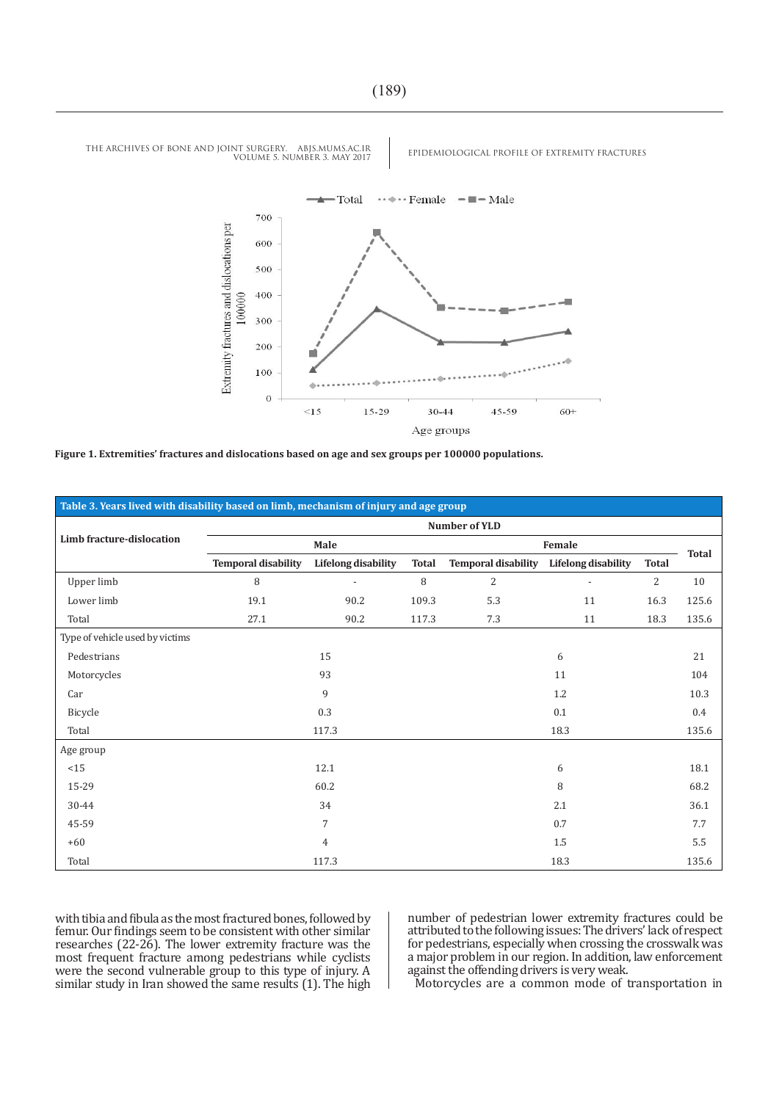

**Figure 1. Extremities' fractures and dislocations based on age and sex groups per 100000 populations.**

| Table 3. Years lived with disability based on limb, mechanism of injury and age group |                            |                            |              |                            |                            |              |              |  |
|---------------------------------------------------------------------------------------|----------------------------|----------------------------|--------------|----------------------------|----------------------------|--------------|--------------|--|
|                                                                                       | Number of YLD              |                            |              |                            |                            |              |              |  |
| Limb fracture-dislocation                                                             | Male                       |                            |              | Female                     |                            |              | <b>Total</b> |  |
|                                                                                       | <b>Temporal disability</b> | <b>Lifelong</b> disability | <b>Total</b> | <b>Temporal disability</b> | <b>Lifelong</b> disability | <b>Total</b> |              |  |
| Upper limb                                                                            | 8                          |                            | 8            | $\overline{2}$             | $\overline{a}$             | 2            | 10           |  |
| Lower limb                                                                            | 19.1                       | 90.2                       | 109.3        | 5.3                        | 11                         | 16.3         | 125.6        |  |
| Total                                                                                 | 27.1                       | 90.2                       | 117.3        | 7.3                        | 11                         | 18.3         | 135.6        |  |
| Type of vehicle used by victims                                                       |                            |                            |              |                            |                            |              |              |  |
| Pedestrians                                                                           | 15                         |                            |              | 6                          |                            |              | 21           |  |
| Motorcycles                                                                           | 93                         |                            |              | 11                         |                            |              | 104          |  |
| Car                                                                                   | 9                          |                            |              | 1.2                        |                            |              | 10.3         |  |
| Bicycle                                                                               | 0.3                        |                            |              | 0.1                        |                            |              | 0.4          |  |
| Total                                                                                 | 117.3                      |                            |              | 18.3                       |                            |              | 135.6        |  |
| Age group                                                                             |                            |                            |              |                            |                            |              |              |  |
| <15                                                                                   | 12.1                       |                            |              | 6                          |                            |              | 18.1         |  |
| 15-29                                                                                 | 60.2                       |                            |              | 8                          |                            |              | 68.2         |  |
| 30-44                                                                                 | 34                         |                            |              | 2.1                        |                            |              | 36.1         |  |
| 45-59                                                                                 | $\overline{7}$             |                            |              | 0.7                        |                            |              | 7.7          |  |
| $+60$                                                                                 | 4                          |                            |              | 1.5                        |                            |              | $5.5\,$      |  |
| Total                                                                                 | 117.3                      |                            |              | 18.3                       |                            |              | 135.6        |  |

with tibia and fibula as the most fractured bones, followed by femur. Our findings seem to be consistent with other similar researches (22-26). The lower extremity fracture was the most frequent fracture among pedestrians while cyclists were the second vulnerable group to this type of injury. A similar study in Iran showed the same results (1). The high

number of pedestrian lower extremity fractures could be attributed to the following issues: The drivers' lack of respect for pedestrians, especially when crossing the crosswalk was a major problem in our region. In addition, law enforcement against the offending drivers is very weak.

Motorcycles are a common mode of transportation in

THE ARCHIVES OF BONE AND JOINT SURGERY. ABJS.MUMS.AC.IR<br>VOURALE S NUMBER 3, MAY 2017 VOLUME 5. NUMBER 3. MAY 2017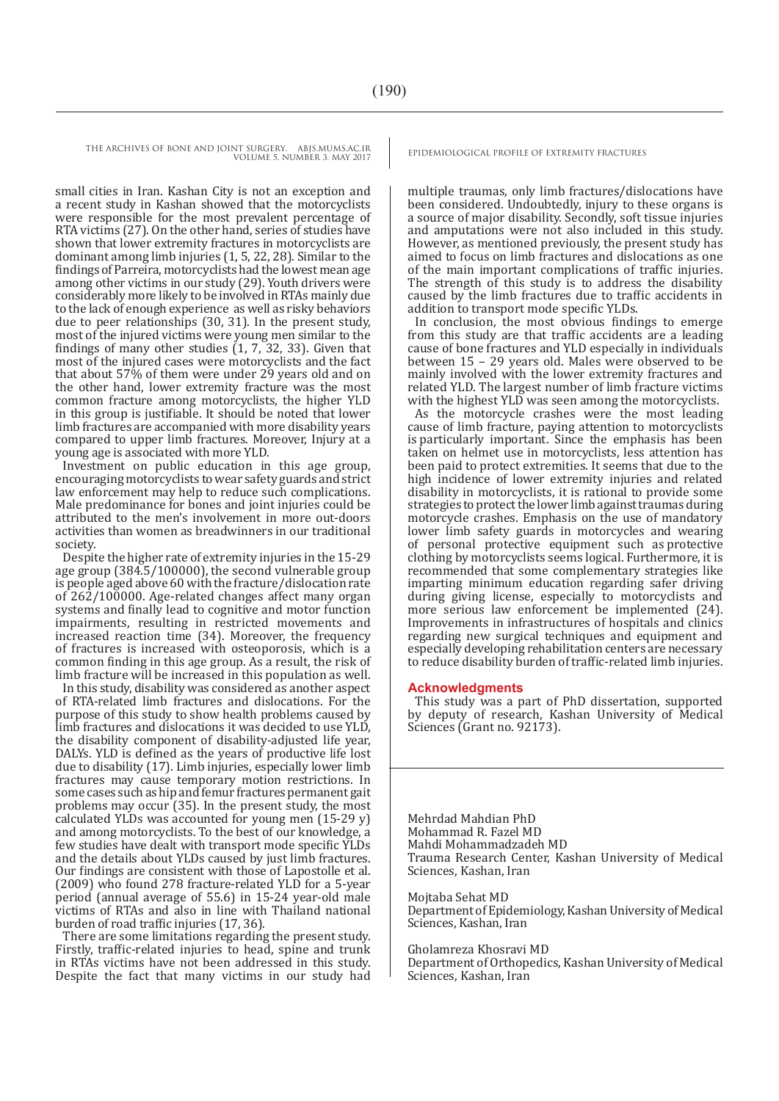small cities in Iran. Kashan City is not an exception and a recent study in Kashan showed that the motorcyclists were responsible for the most prevalent percentage of RTA victims (27). On the other hand, series of studies have shown that lower extremity fractures in motorcyclists are dominant among limb injuries (1, 5, 22, 28). Similar to the findings of Parreira, motorcyclists had the lowest mean age among other victims in our study (29). Youth drivers were considerably more likely to be involved in RTAs mainly due to the lack of enough experience as well as risky behaviors due to peer relationships (30, 31). In the present study, most of the injured victims were young men similar to the findings of many other studies  $(1, 7, 32, 33)$ . Given that most of the injured cases were motorcyclists and the fact that about 57% of them were under 29 years old and on the other hand, lower extremity fracture was the most common fracture among motorcyclists, the higher YLD in this group is justifiable. It should be noted that lower limb fractures are accompanied with more disability years compared to upper limb fractures. Moreover, Injury at a young age is associated with more YLD.

Investment on public education in this age group, encouraging motorcyclists to wear safety guards and strict law enforcement may help to reduce such complications. Male predominance for bones and joint injuries could be attributed to the men's involvement in more out-doors activities than women as breadwinners in our traditional society.

Despite the higher rate of extremity injuries in the 15-29 age group (384.5/100000), the second vulnerable group is people aged above 60 with the fracture/dislocation rate of 262/100000. Age-related changes affect many organ systems and finally lead to cognitive and motor function impairments, resulting in restricted movements and increased reaction time (34). Moreover, the frequency of fractures is increased with osteoporosis, which is a common finding in this age group. As a result, the risk of limb fracture will be increased in this population as well.

In this study, disability was considered as another aspect of RTA-related limb fractures and dislocations. For the purpose of this study to show health problems caused by limb fractures and dislocations it was decided to use YLD, the disability component of disability-adjusted life year, DALYs. YLD is defined as the years of productive life lost due to disability (17). Limb injuries, especially lower limb fractures may cause temporary motion restrictions. In some cases such as hip and femur fractures permanent gait problems may occur (35). In the present study, the most calculated YLDs was accounted for young men (15-29 y) and among motorcyclists. To the best of our knowledge, a few studies have dealt with transport mode specific YLDs and the details about YLDs caused by just limb fractures. Our findings are consistent with those of Lapostolle et al. (2009) who found 278 fracture-related YLD for a 5-year period (annual average of 55.6) in 15-24 year-old male victims of RTAs and also in line with Thailand national burden of road traffic injuries (17, 36).

There are some limitations regarding the present study. Firstly, traffic-related injuries to head, spine and trunk in RTAs victims have not been addressed in this study. Despite the fact that many victims in our study had

multiple traumas, only limb fractures/dislocations have been considered. Undoubtedly, injury to these organs is a source of major disability. Secondly, soft tissue injuries and amputations were not also included in this study. However, as mentioned previously, the present study has aimed to focus on limb fractures and dislocations as one of the main important complications of traffic injuries. The strength of this study is to address the disability caused by the limb fractures due to traffic accidents in addition to transport mode specific YLDs.

In conclusion, the most obvious findings to emerge from this study are that traffic accidents are a leading cause of bone fractures and YLD especially in individuals between 15 – 29 years old. Males were observed to be mainly involved with the lower extremity fractures and related YLD. The largest number of limb fracture victims with the highest YLD was seen among the motorcyclists.

As the motorcycle crashes were the most leading cause of limb fracture, paying attention to motorcyclists is particularly important. Since the emphasis has been taken on helmet use in motorcyclists, less attention has been paid to protect extremities. It seems that due to the high incidence of lower extremity injuries and related disability in motorcyclists, it is rational to provide some strategies to protect the lower limb against traumas during motorcycle crashes. Emphasis on the use of mandatory lower limb safety guards in motorcycles and wearing of personal protective equipment such as protective clothing by motorcyclists seems logical. Furthermore, it is recommended that some complementary strategies like imparting minimum education regarding safer driving during giving license, especially to motorcyclists and more serious law enforcement be implemented (24). Improvements in infrastructures of hospitals and clinics regarding new surgical techniques and equipment and especially developing rehabilitation centers are necessary to reduce disability burden of traffic-related limb injuries.

#### **Acknowledgments**

This study was a part of PhD dissertation, supported by deputy of research, Kashan University of Medical Sciences (Grant no. 92173).

Mehrdad Mahdian PhD Mohammad R. Fazel MD Mahdi Mohammadzadeh MD Trauma Research Center, Kashan University of Medical Sciences, Kashan, Iran

Mojtaba Sehat MD

Department of Epidemiology, Kashan University of Medical Sciences, Kashan, Iran

Gholamreza Khosravi MD

Department of Orthopedics, Kashan University of Medical Sciences, Kashan, Iran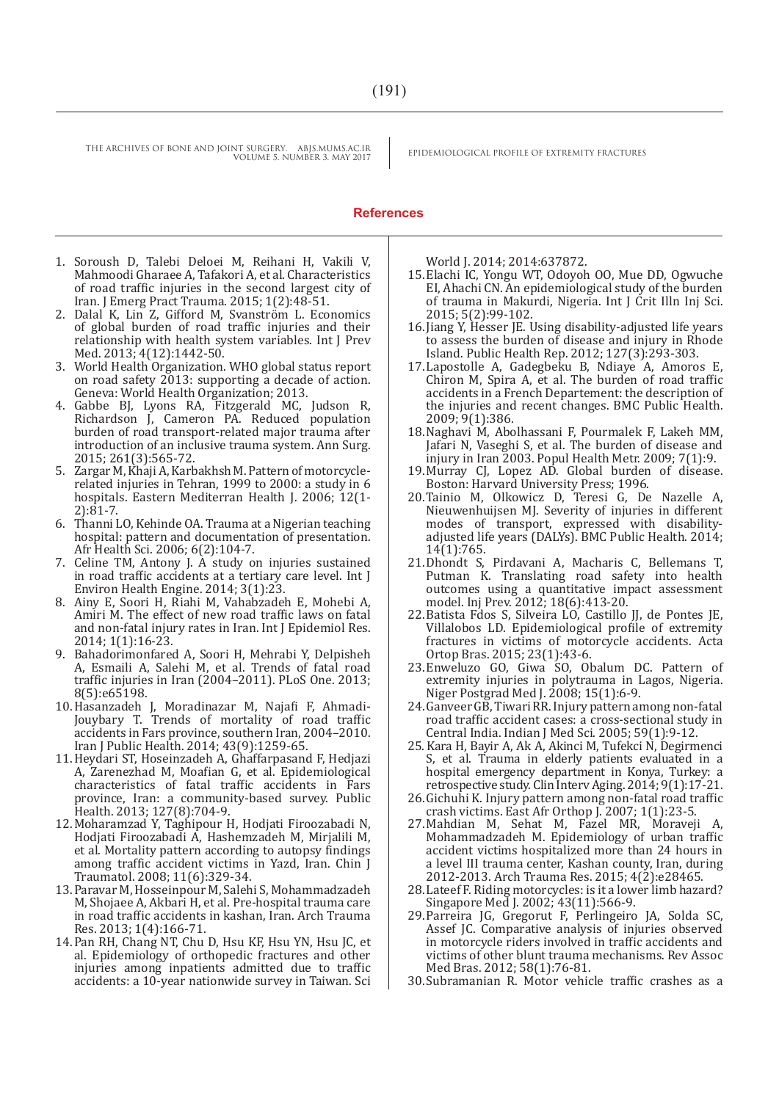#### **References**

- 1. Soroush D, Talebi Deloei M, Reihani H, Vakili V, Mahmoodi Gharaee A, Tafakori A, et al. Characteristics of road traffic injuries in the second largest city of Iran. J Emerg Pract Trauma. 2015; 1(2):48-51.
- 2. Dalal K, Lin Z, Gifford M, Svanström L. Economics of global burden of road traffic injuries and their relationship with health system variables. Int J Prev Med. 2013; 4(12):1442-50.
- 3. World Health Organization. WHO global status report on road safety 2013: supporting a decade of action. Geneva: World Health Organization; 2013.
- 4. Gabbe BJ, Lyons RA, Fitzgerald MC, Judson R, Richardson J, Cameron PA. Reduced population burden of road transport-related major trauma after introduction of an inclusive trauma system. Ann Surg. 2015; 261(3):565-72.
- 5. Zargar M, Khaji A, Karbakhsh M. Pattern of motorcyclerelated injuries in Tehran, 1999 to 2000: a study in 6 hospitals. Eastern Mediterran Health J. 2006; 12(1- 2):81-7.
- 6. Thanni LO, Kehinde OA. Trauma at a Nigerian teaching hospital: pattern and documentation of presentation. Afr Health Sci. 2006; 6(2):104-7.
- 7. Celine TM, Antony J. A study on injuries sustained in road traffic accidents at a tertiary care level. Int J Environ Health Engine. 2014; 3(1):23.
- 8. Ainy E, Soori H, Riahi M, Vahabzadeh E, Mohebi A, Amiri M. The effect of new road traffic laws on fatal and non-fatal injury rates in Iran. Int J Epidemiol Res. 2014; 1(1):16-23.
- 9. Bahadorimonfared A, Soori H, Mehrabi Y, Delpisheh A, Esmaili A, Salehi M, et al. Trends of fatal road traffic injuries in Iran (2004–2011). PLoS One. 2013; 8(5):e65198.
- 10.Hasanzadeh J, Moradinazar M, Najafi F, Ahmadi-Jouybary T. Trends of mortality of road traffic accidents in Fars province, southern Iran, 2004–2010. Iran J Public Health. 2014; 43(9):1259-65.
- 11.Heydari ST, Hoseinzadeh A, Ghaffarpasand F, Hedjazi A, Zarenezhad M, Moafian G, et al. Epidemiological characteristics of fatal traffic accidents in Fars province, Iran: a community-based survey. Public Health. 2013; 127(8):704-9.
- 12.Moharamzad Y, Taghipour H, Hodjati Firoozabadi N, Hodjati Firoozabadi A, Hashemzadeh M, Mirjalili M, et al. Mortality pattern according to autopsy findings among traffic accident victims in Yazd, Iran. Chin J Traumatol. 2008; 11(6):329-34.
- 13.Paravar M, Hosseinpour M, Salehi S, Mohammadzadeh M, Shojaee A, Akbari H, et al. Pre-hospital trauma care in road traffic accidents in kashan, Iran. Arch Trauma Res. 2013; 1(4):166-71.
- 14.Pan RH, Chang NT, Chu D, Hsu KF, Hsu YN, Hsu JC, et al. Epidemiology of orthopedic fractures and other injuries among inpatients admitted due to traffic accidents: a 10-year nationwide survey in Taiwan. Sci

World J. 2014; 2014:637872.

- 15.Elachi IC, Yongu WT, Odoyoh OO, Mue DD, Ogwuche EI, Ahachi CN. An epidemiological study of the burden of trauma in Makurdi, Nigeria. Int J Crit Illn Inj Sci. 2015; 5(2):99-102.
- 16.Jiang Y, Hesser JE. Using disability-adjusted life years to assess the burden of disease and injury in Rhode Island. Public Health Rep. 2012; 127(3):293-303.
- 17.Lapostolle A, Gadegbeku B, Ndiaye A, Amoros E, Chiron M, Spira A, et al. The burden of road traffic accidents in a French Departement: the description of the injuries and recent changes. BMC Public Health. 2009; 9(1):386.
- 18.Naghavi M, Abolhassani F, Pourmalek F, Lakeh MM, Jafari N, Vaseghi S, et al. The burden of disease and injury in Iran 2003. Popul Health Metr. 2009; 7(1):9.
- 19.Murray CJ, Lopez AD. Global burden of disease. Boston: Harvard University Press; 1996.
- 20.Tainio M, Olkowicz D, Teresi G, De Nazelle A, Nieuwenhuijsen MJ. Severity of injuries in different modes of transport, expressed with disabilityadjusted life years (DALYs). BMC Public Health. 2014; 14(1):765.
- 21.Dhondt S, Pirdavani A, Macharis C, Bellemans T, Putman K. Translating road safety into health outcomes using a quantitative impact assessment model. Inj Prev. 2012; 18(6):413-20.
- 22.Batista Fdos S, Silveira LO, Castillo JJ, de Pontes JE, Villalobos LD. Epidemiological profile of extremity fractures in victims of motorcycle accidents. Acta Ortop Bras. 2015; 23(1):43-6.
- 23.Enweluzo GO, Giwa SO, Obalum DC. Pattern of extremity injuries in polytrauma in Lagos, Nigeria. Niger Postgrad Med J. 2008; 15(1):6-9.
- 24.Ganveer GB, Tiwari RR. Injury pattern among non-fatal road traffic accident cases: a cross-sectional study in Central India. Indian J Med Sci. 2005; 59(1):9-12.
- 25.Kara H, Bayir A, Ak A, Akinci M, Tufekci N, Degirmenci S, et al. Trauma in elderly patients evaluated in a hospital emergency department in Konya, Turkey: a retrospective study. Clin Interv Aging. 2014; 9(1):17-21.
- 26.Gichuhi K. Injury pattern among non-fatal road traffic crash victims. East Afr Orthop J. 2007; 1(1):23-5.
- 27.Mahdian M, Sehat M, Fazel MR, Moraveji A, Mohammadzadeh M. Epidemiology of urban traffic accident victims hospitalized more than 24 hours in a level III trauma center, Kashan county, Iran, during 2012-2013. Arch Trauma Res. 2015; 4(2):e28465.
- 28.Lateef F. Riding motorcycles: is it a lower limb hazard? Singapore Med J. 2002; 43(11):566-9.
- 29.Parreira JG, Gregorut F, Perlingeiro JA, Solda SC, Assef JC. Comparative analysis of injuries observed in motorcycle riders involved in traffic accidents and victims of other blunt trauma mechanisms. Rev Assoc Med Bras. 2012; 58(1):76-81.
- 30.Subramanian R. Motor vehicle traffic crashes as a